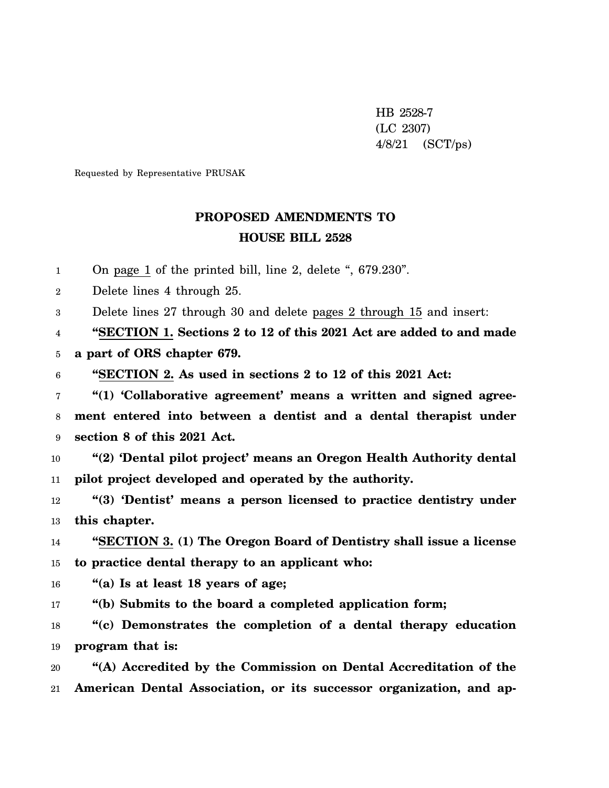HB 2528-7 (LC 2307) 4/8/21 (SCT/ps)

Requested by Representative PRUSAK

## **PROPOSED AMENDMENTS TO HOUSE BILL 2528**

1 On page 1 of the printed bill, line 2, delete ", 679.230".

2 Delete lines 4 through 25.

3 Delete lines 27 through 30 and delete pages 2 through 15 and insert:

4 **"SECTION 1. Sections 2 to 12 of this 2021 Act are added to and made**

5 **a part of ORS chapter 679.**

6 **"SECTION 2. As used in sections 2 to 12 of this 2021 Act:**

7 8 9 **"(1) 'Collaborative agreement' means a written and signed agreement entered into between a dentist and a dental therapist under section 8 of this 2021 Act.**

10 11 **"(2) 'Dental pilot project' means an Oregon Health Authority dental pilot project developed and operated by the authority.**

12 13 **"(3) 'Dentist' means a person licensed to practice dentistry under this chapter.**

14 15 **"SECTION 3. (1) The Oregon Board of Dentistry shall issue a license to practice dental therapy to an applicant who:**

16 **"(a) Is at least 18 years of age;**

17 **"(b) Submits to the board a completed application form;**

18 19 **"(c) Demonstrates the completion of a dental therapy education program that is:**

20 21 **"(A) Accredited by the Commission on Dental Accreditation of the American Dental Association, or its successor organization, and ap-**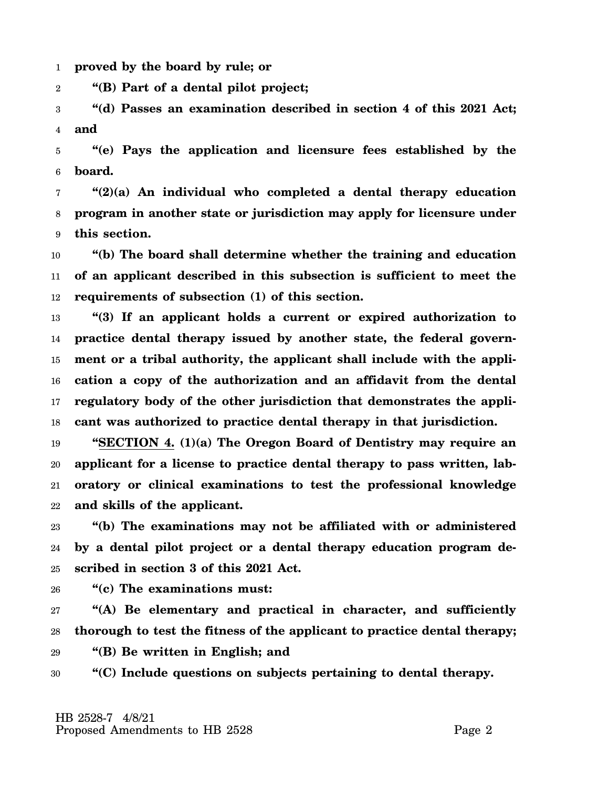1 **proved by the board by rule; or**

2 **"(B) Part of a dental pilot project;**

3 4 **"(d) Passes an examination described in section 4 of this 2021 Act; and**

5 6 **"(e) Pays the application and licensure fees established by the board.**

7 8 9 **"(2)(a) An individual who completed a dental therapy education program in another state or jurisdiction may apply for licensure under this section.**

10 11 12 **"(b) The board shall determine whether the training and education of an applicant described in this subsection is sufficient to meet the requirements of subsection (1) of this section.**

13 14 15 16 17 18 **"(3) If an applicant holds a current or expired authorization to practice dental therapy issued by another state, the federal government or a tribal authority, the applicant shall include with the application a copy of the authorization and an affidavit from the dental regulatory body of the other jurisdiction that demonstrates the applicant was authorized to practice dental therapy in that jurisdiction.**

19 20 21 22 **"SECTION 4. (1)(a) The Oregon Board of Dentistry may require an applicant for a license to practice dental therapy to pass written, laboratory or clinical examinations to test the professional knowledge and skills of the applicant.**

23 24 25 **"(b) The examinations may not be affiliated with or administered by a dental pilot project or a dental therapy education program described in section 3 of this 2021 Act.**

26 **"(c) The examinations must:**

27 28 **"(A) Be elementary and practical in character, and sufficiently thorough to test the fitness of the applicant to practice dental therapy;**

29 **"(B) Be written in English; and**

30 **"(C) Include questions on subjects pertaining to dental therapy.**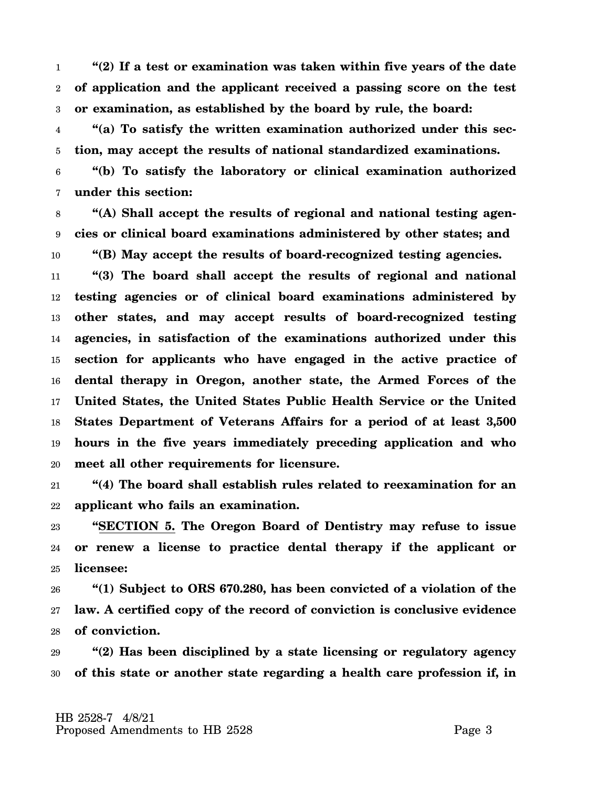1 2 3 **"(2) If a test or examination was taken within five years of the date of application and the applicant received a passing score on the test or examination, as established by the board by rule, the board:**

4 5 **"(a) To satisfy the written examination authorized under this section, may accept the results of national standardized examinations.**

6 7 **"(b) To satisfy the laboratory or clinical examination authorized under this section:**

8 9 10 **"(A) Shall accept the results of regional and national testing agencies or clinical board examinations administered by other states; and "(B) May accept the results of board-recognized testing agencies.**

11 12 13 14 15 16 17 18 19 20 **"(3) The board shall accept the results of regional and national testing agencies or of clinical board examinations administered by other states, and may accept results of board-recognized testing agencies, in satisfaction of the examinations authorized under this section for applicants who have engaged in the active practice of dental therapy in Oregon, another state, the Armed Forces of the United States, the United States Public Health Service or the United States Department of Veterans Affairs for a period of at least 3,500 hours in the five years immediately preceding application and who meet all other requirements for licensure.**

21 22 **"(4) The board shall establish rules related to reexamination for an applicant who fails an examination.**

23 24 25 **"SECTION 5. The Oregon Board of Dentistry may refuse to issue or renew a license to practice dental therapy if the applicant or licensee:**

26 27 28 **"(1) Subject to ORS 670.280, has been convicted of a violation of the law. A certified copy of the record of conviction is conclusive evidence of conviction.**

29 30 **"(2) Has been disciplined by a state licensing or regulatory agency of this state or another state regarding a health care profession if, in**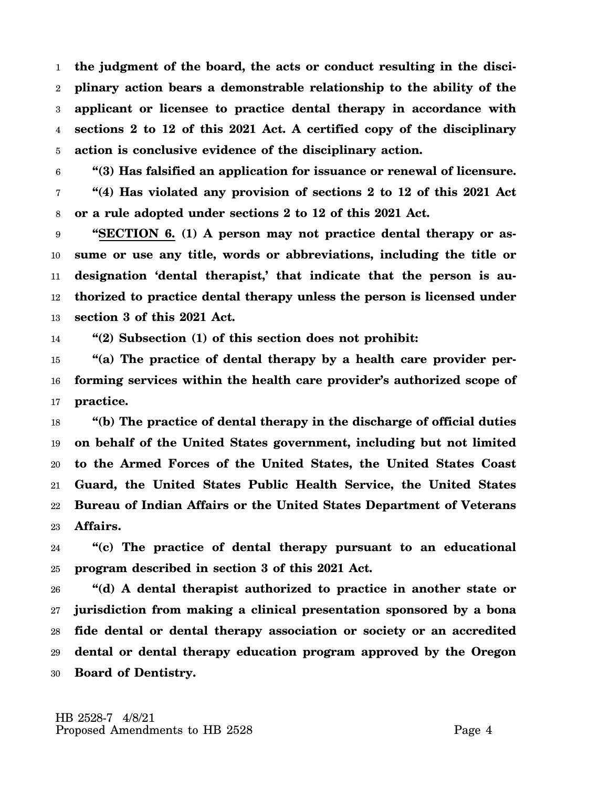1 2 3 4 5 **the judgment of the board, the acts or conduct resulting in the disciplinary action bears a demonstrable relationship to the ability of the applicant or licensee to practice dental therapy in accordance with sections 2 to 12 of this 2021 Act. A certified copy of the disciplinary action is conclusive evidence of the disciplinary action.**

6 7 8 **"(3) Has falsified an application for issuance or renewal of licensure. "(4) Has violated any provision of sections 2 to 12 of this 2021 Act or a rule adopted under sections 2 to 12 of this 2021 Act.**

9 10 11 12 13 **"SECTION 6. (1) A person may not practice dental therapy or assume or use any title, words or abbreviations, including the title or designation 'dental therapist,' that indicate that the person is authorized to practice dental therapy unless the person is licensed under section 3 of this 2021 Act.**

14 **"(2) Subsection (1) of this section does not prohibit:**

15 16 17 **"(a) The practice of dental therapy by a health care provider performing services within the health care provider's authorized scope of practice.**

18 19 20 21 22 23 **"(b) The practice of dental therapy in the discharge of official duties on behalf of the United States government, including but not limited to the Armed Forces of the United States, the United States Coast Guard, the United States Public Health Service, the United States Bureau of Indian Affairs or the United States Department of Veterans Affairs.**

24 25 **"(c) The practice of dental therapy pursuant to an educational program described in section 3 of this 2021 Act.**

26 27 28 29 30 **"(d) A dental therapist authorized to practice in another state or jurisdiction from making a clinical presentation sponsored by a bona fide dental or dental therapy association or society or an accredited dental or dental therapy education program approved by the Oregon Board of Dentistry.**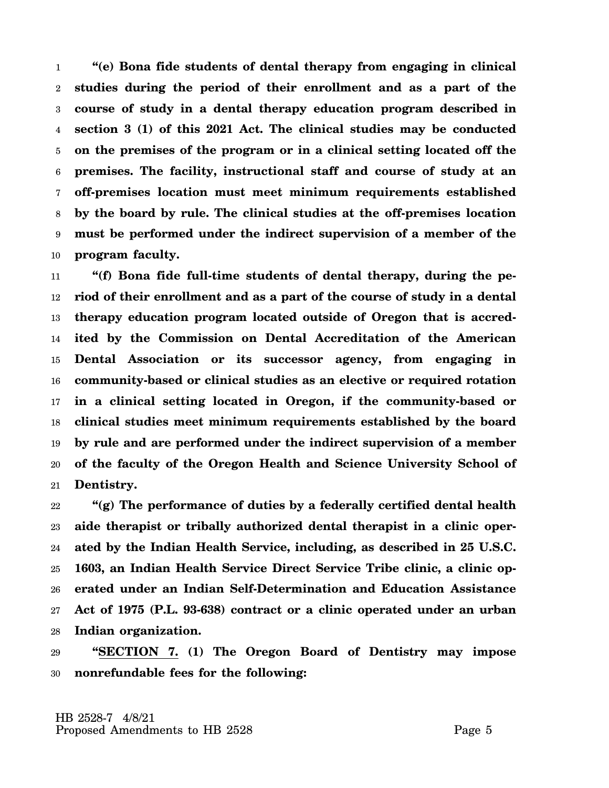1 2 3 4 5 6 7 8 9 10 **"(e) Bona fide students of dental therapy from engaging in clinical studies during the period of their enrollment and as a part of the course of study in a dental therapy education program described in section 3 (1) of this 2021 Act. The clinical studies may be conducted on the premises of the program or in a clinical setting located off the premises. The facility, instructional staff and course of study at an off-premises location must meet minimum requirements established by the board by rule. The clinical studies at the off-premises location must be performed under the indirect supervision of a member of the program faculty.**

11 12 13 14 15 16 17 18 19 20 21 **"(f) Bona fide full-time students of dental therapy, during the period of their enrollment and as a part of the course of study in a dental therapy education program located outside of Oregon that is accredited by the Commission on Dental Accreditation of the American Dental Association or its successor agency, from engaging in community-based or clinical studies as an elective or required rotation in a clinical setting located in Oregon, if the community-based or clinical studies meet minimum requirements established by the board by rule and are performed under the indirect supervision of a member of the faculty of the Oregon Health and Science University School of Dentistry.**

22 23 24 25 26 27 28 **"(g) The performance of duties by a federally certified dental health aide therapist or tribally authorized dental therapist in a clinic operated by the Indian Health Service, including, as described in 25 U.S.C. 1603, an Indian Health Service Direct Service Tribe clinic, a clinic operated under an Indian Self-Determination and Education Assistance Act of 1975 (P.L. 93-638) contract or a clinic operated under an urban Indian organization.**

29 30 **"SECTION 7. (1) The Oregon Board of Dentistry may impose nonrefundable fees for the following:**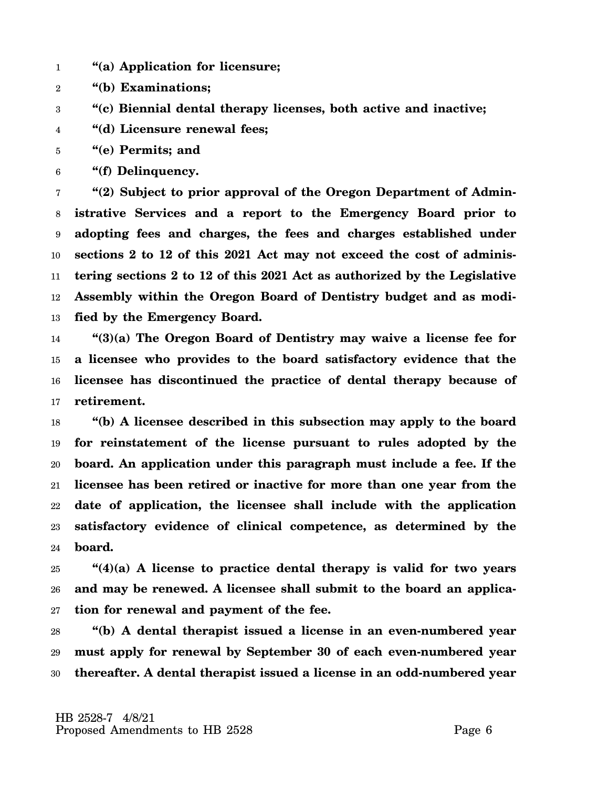- 1 **"(a) Application for licensure;**
- 2 **"(b) Examinations;**
- 3 **"(c) Biennial dental therapy licenses, both active and inactive;**
- 4 **"(d) Licensure renewal fees;**
- 5 **"(e) Permits; and**
- 6 **"(f) Delinquency.**

7 8 9 10 11 12 13 **"(2) Subject to prior approval of the Oregon Department of Administrative Services and a report to the Emergency Board prior to adopting fees and charges, the fees and charges established under sections 2 to 12 of this 2021 Act may not exceed the cost of administering sections 2 to 12 of this 2021 Act as authorized by the Legislative Assembly within the Oregon Board of Dentistry budget and as modified by the Emergency Board.**

14 15 16 17 **"(3)(a) The Oregon Board of Dentistry may waive a license fee for a licensee who provides to the board satisfactory evidence that the licensee has discontinued the practice of dental therapy because of retirement.**

18 19 20 21 22 23 24 **"(b) A licensee described in this subsection may apply to the board for reinstatement of the license pursuant to rules adopted by the board. An application under this paragraph must include a fee. If the licensee has been retired or inactive for more than one year from the date of application, the licensee shall include with the application satisfactory evidence of clinical competence, as determined by the board.**

25 26 27 **"(4)(a) A license to practice dental therapy is valid for two years and may be renewed. A licensee shall submit to the board an application for renewal and payment of the fee.**

28 29 30 **"(b) A dental therapist issued a license in an even-numbered year must apply for renewal by September 30 of each even-numbered year thereafter. A dental therapist issued a license in an odd-numbered year**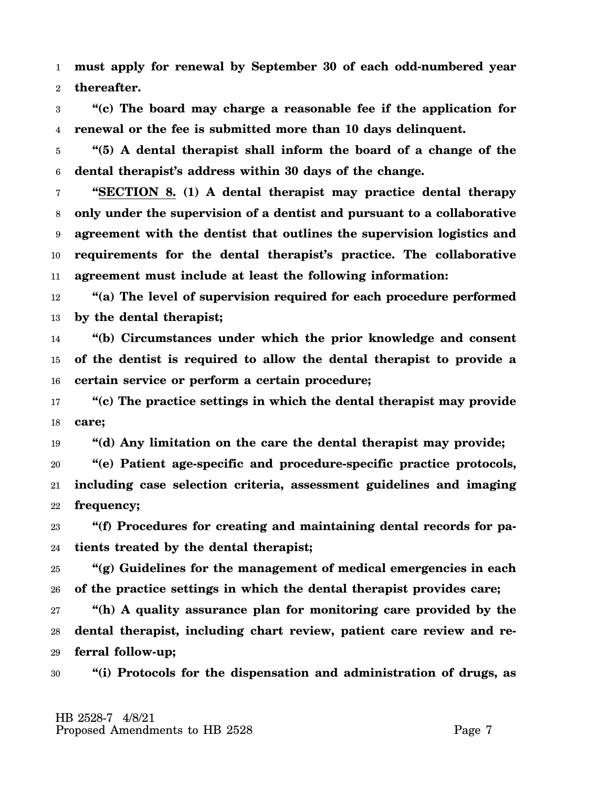1 2 **must apply for renewal by September 30 of each odd-numbered year thereafter.**

3 4 **"(c) The board may charge a reasonable fee if the application for renewal or the fee is submitted more than 10 days delinquent.**

5 6 **"(5) A dental therapist shall inform the board of a change of the dental therapist's address within 30 days of the change.**

7 8 9 10 11 **"SECTION 8. (1) A dental therapist may practice dental therapy only under the supervision of a dentist and pursuant to a collaborative agreement with the dentist that outlines the supervision logistics and requirements for the dental therapist's practice. The collaborative agreement must include at least the following information:**

12 13 **"(a) The level of supervision required for each procedure performed by the dental therapist;**

14 15 16 **"(b) Circumstances under which the prior knowledge and consent of the dentist is required to allow the dental therapist to provide a certain service or perform a certain procedure;**

17 18 **"(c) The practice settings in which the dental therapist may provide care;**

19 **"(d) Any limitation on the care the dental therapist may provide;**

20 21 22 **"(e) Patient age-specific and procedure-specific practice protocols, including case selection criteria, assessment guidelines and imaging frequency;**

23 24 **"(f) Procedures for creating and maintaining dental records for patients treated by the dental therapist;**

25 26 **"(g) Guidelines for the management of medical emergencies in each of the practice settings in which the dental therapist provides care;**

27 28 29 **"(h) A quality assurance plan for monitoring care provided by the dental therapist, including chart review, patient care review and referral follow-up;**

30 **"(i) Protocols for the dispensation and administration of drugs, as**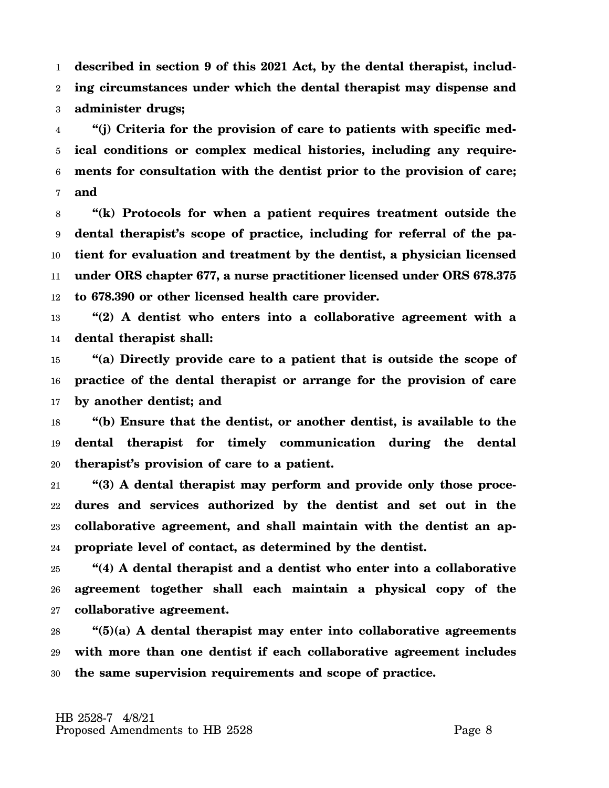1 2 3 **described in section 9 of this 2021 Act, by the dental therapist, including circumstances under which the dental therapist may dispense and administer drugs;**

4 5 6 7 **"(j) Criteria for the provision of care to patients with specific medical conditions or complex medical histories, including any requirements for consultation with the dentist prior to the provision of care; and**

8 9 10 11 12 **"(k) Protocols for when a patient requires treatment outside the dental therapist's scope of practice, including for referral of the patient for evaluation and treatment by the dentist, a physician licensed under ORS chapter 677, a nurse practitioner licensed under ORS 678.375 to 678.390 or other licensed health care provider.**

13 14 **"(2) A dentist who enters into a collaborative agreement with a dental therapist shall:**

15 16 17 **"(a) Directly provide care to a patient that is outside the scope of practice of the dental therapist or arrange for the provision of care by another dentist; and**

18 19 20 **"(b) Ensure that the dentist, or another dentist, is available to the dental therapist for timely communication during the dental therapist's provision of care to a patient.**

21 22 23 24 **"(3) A dental therapist may perform and provide only those procedures and services authorized by the dentist and set out in the collaborative agreement, and shall maintain with the dentist an appropriate level of contact, as determined by the dentist.**

25 26 27 **"(4) A dental therapist and a dentist who enter into a collaborative agreement together shall each maintain a physical copy of the collaborative agreement.**

28 29 30 **"(5)(a) A dental therapist may enter into collaborative agreements with more than one dentist if each collaborative agreement includes the same supervision requirements and scope of practice.**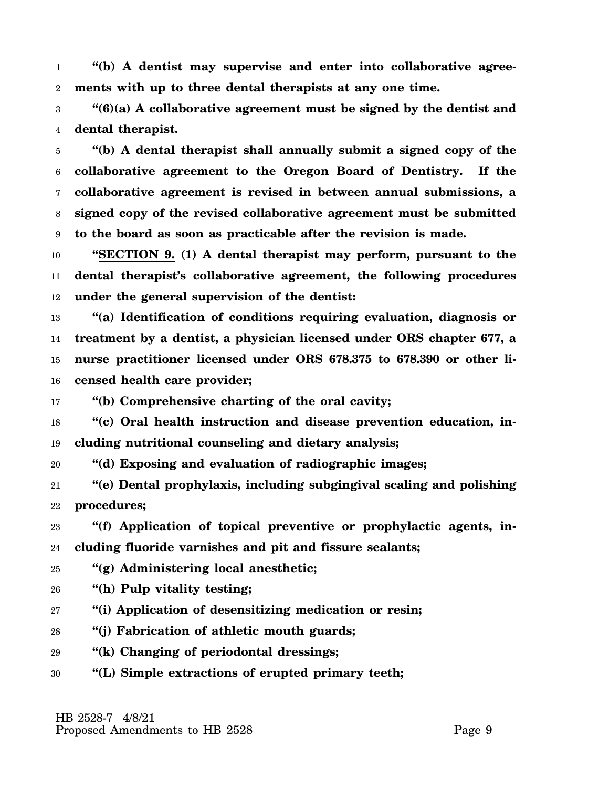1 2 **"(b) A dentist may supervise and enter into collaborative agreements with up to three dental therapists at any one time.**

3 4 **"(6)(a) A collaborative agreement must be signed by the dentist and dental therapist.**

5 6 7 8 9 **"(b) A dental therapist shall annually submit a signed copy of the collaborative agreement to the Oregon Board of Dentistry. If the collaborative agreement is revised in between annual submissions, a signed copy of the revised collaborative agreement must be submitted to the board as soon as practicable after the revision is made.**

10 11 12 **"SECTION 9. (1) A dental therapist may perform, pursuant to the dental therapist's collaborative agreement, the following procedures under the general supervision of the dentist:**

13 14 15 16 **"(a) Identification of conditions requiring evaluation, diagnosis or treatment by a dentist, a physician licensed under ORS chapter 677, a nurse practitioner licensed under ORS 678.375 to 678.390 or other licensed health care provider;**

17 **"(b) Comprehensive charting of the oral cavity;**

18 19 **"(c) Oral health instruction and disease prevention education, including nutritional counseling and dietary analysis;**

20 **"(d) Exposing and evaluation of radiographic images;**

21 22 **"(e) Dental prophylaxis, including subgingival scaling and polishing procedures;**

23 24 **"(f) Application of topical preventive or prophylactic agents, including fluoride varnishes and pit and fissure sealants;**

25 **"(g) Administering local anesthetic;**

- 26 **"(h) Pulp vitality testing;**
- 27 **"(i) Application of desensitizing medication or resin;**
- 28 **"(j) Fabrication of athletic mouth guards;**
- 29 **"(k) Changing of periodontal dressings;**
- 30 **"(L) Simple extractions of erupted primary teeth;**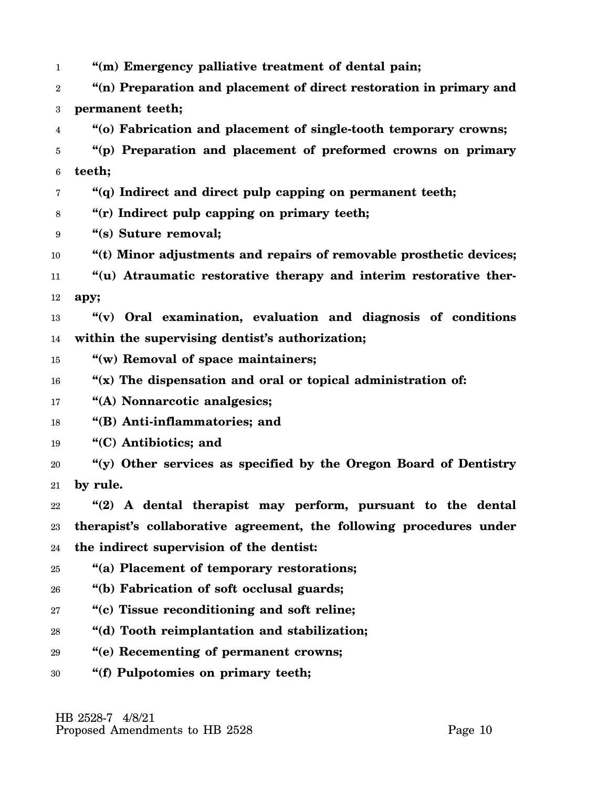1 2 3 4 5 6 7 8 9 10 11 12 13 14 15 16 17 18 19 20 21 22 23 24 25 26 27 28 29 30 **"(m) Emergency palliative treatment of dental pain; "(n) Preparation and placement of direct restoration in primary and permanent teeth; "(o) Fabrication and placement of single-tooth temporary crowns; "(p) Preparation and placement of preformed crowns on primary teeth; "(q) Indirect and direct pulp capping on permanent teeth; "(r) Indirect pulp capping on primary teeth; "(s) Suture removal; "(t) Minor adjustments and repairs of removable prosthetic devices; "(u) Atraumatic restorative therapy and interim restorative therapy; "(v) Oral examination, evaluation and diagnosis of conditions within the supervising dentist's authorization; "(w) Removal of space maintainers; "(x) The dispensation and oral or topical administration of: "(A) Nonnarcotic analgesics; "(B) Anti-inflammatories; and "(C) Antibiotics; and "(y) Other services as specified by the Oregon Board of Dentistry by rule. "(2) A dental therapist may perform, pursuant to the dental therapist's collaborative agreement, the following procedures under the indirect supervision of the dentist: "(a) Placement of temporary restorations; "(b) Fabrication of soft occlusal guards; "(c) Tissue reconditioning and soft reline; "(d) Tooth reimplantation and stabilization; "(e) Recementing of permanent crowns; "(f) Pulpotomies on primary teeth;**

 HB 2528-7 4/8/21 Proposed Amendments to HB 2528 Proposed Amendments to HB 2528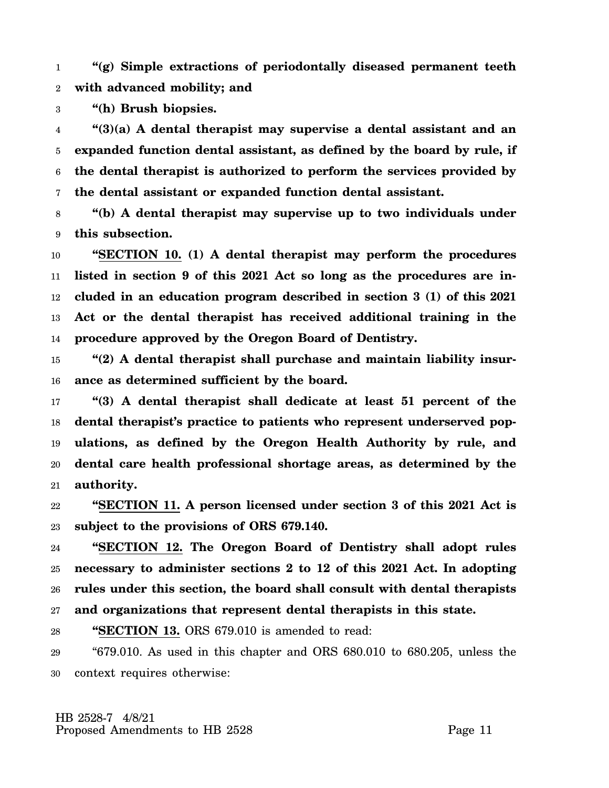1 2 **"(g) Simple extractions of periodontally diseased permanent teeth with advanced mobility; and**

3 **"(h) Brush biopsies.**

4 5 6 7 **"(3)(a) A dental therapist may supervise a dental assistant and an expanded function dental assistant, as defined by the board by rule, if the dental therapist is authorized to perform the services provided by the dental assistant or expanded function dental assistant.**

8 9 **"(b) A dental therapist may supervise up to two individuals under this subsection.**

10 11 12 13 14 **"SECTION 10. (1) A dental therapist may perform the procedures listed in section 9 of this 2021 Act so long as the procedures are included in an education program described in section 3 (1) of this 2021 Act or the dental therapist has received additional training in the procedure approved by the Oregon Board of Dentistry.**

15 16 **"(2) A dental therapist shall purchase and maintain liability insurance as determined sufficient by the board.**

17 18 19 20 21 **"(3) A dental therapist shall dedicate at least 51 percent of the dental therapist's practice to patients who represent underserved populations, as defined by the Oregon Health Authority by rule, and dental care health professional shortage areas, as determined by the authority.**

22 23 **"SECTION 11. A person licensed under section 3 of this 2021 Act is subject to the provisions of ORS 679.140.**

24 25 26 27 **"SECTION 12. The Oregon Board of Dentistry shall adopt rules necessary to administer sections 2 to 12 of this 2021 Act. In adopting rules under this section, the board shall consult with dental therapists and organizations that represent dental therapists in this state.**

28 **"SECTION 13.** ORS 679.010 is amended to read:

29 30 "679.010. As used in this chapter and ORS 680.010 to 680.205, unless the context requires otherwise: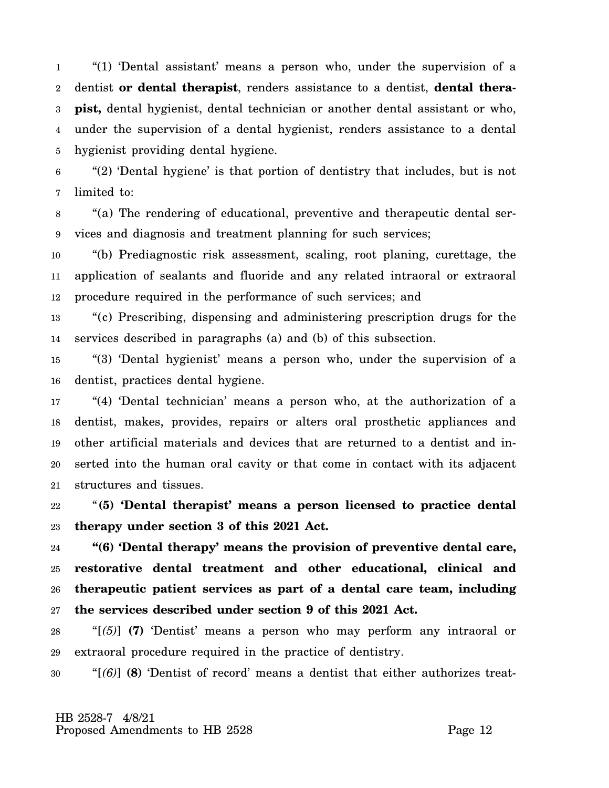1 2 3 4 5 "(1) 'Dental assistant' means a person who, under the supervision of a dentist **or dental therapist**, renders assistance to a dentist, **dental therapist,** dental hygienist, dental technician or another dental assistant or who, under the supervision of a dental hygienist, renders assistance to a dental hygienist providing dental hygiene.

6 7 "(2) 'Dental hygiene' is that portion of dentistry that includes, but is not limited to:

8 9 "(a) The rendering of educational, preventive and therapeutic dental services and diagnosis and treatment planning for such services;

10 11 12 "(b) Prediagnostic risk assessment, scaling, root planing, curettage, the application of sealants and fluoride and any related intraoral or extraoral procedure required in the performance of such services; and

13 14 "(c) Prescribing, dispensing and administering prescription drugs for the services described in paragraphs (a) and (b) of this subsection.

15 16 "(3) 'Dental hygienist' means a person who, under the supervision of a dentist, practices dental hygiene.

17 18 19 20 21 "(4) 'Dental technician' means a person who, at the authorization of a dentist, makes, provides, repairs or alters oral prosthetic appliances and other artificial materials and devices that are returned to a dentist and inserted into the human oral cavity or that come in contact with its adjacent structures and tissues.

22 23 "**(5) 'Dental therapist' means a person licensed to practice dental therapy under section 3 of this 2021 Act.**

24 25 26 27 **"(6) 'Dental therapy' means the provision of preventive dental care, restorative dental treatment and other educational, clinical and therapeutic patient services as part of a dental care team, including the services described under section 9 of this 2021 Act.**

28 29 "[*(5)*] **(7)** 'Dentist' means a person who may perform any intraoral or extraoral procedure required in the practice of dentistry.

30 "[*(6)*] **(8)** 'Dentist of record' means a dentist that either authorizes treat-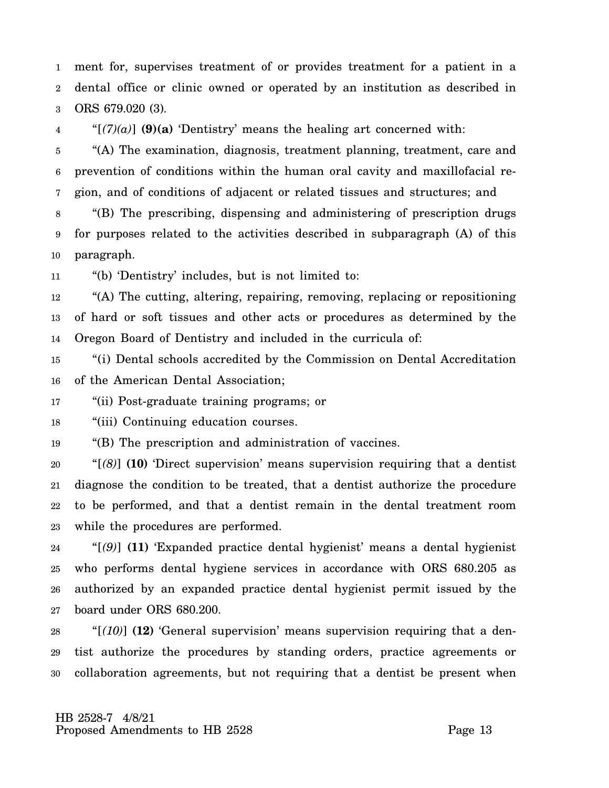1 2 3 ment for, supervises treatment of or provides treatment for a patient in a dental office or clinic owned or operated by an institution as described in ORS 679.020 (3).

4 " $[(7)(a)]$  (9)(a) 'Dentistry' means the healing art concerned with:

5 6 7 "(A) The examination, diagnosis, treatment planning, treatment, care and prevention of conditions within the human oral cavity and maxillofacial region, and of conditions of adjacent or related tissues and structures; and

8 9 10 "(B) The prescribing, dispensing and administering of prescription drugs for purposes related to the activities described in subparagraph (A) of this paragraph.

11 "(b) 'Dentistry' includes, but is not limited to:

12 13 14 "(A) The cutting, altering, repairing, removing, replacing or repositioning of hard or soft tissues and other acts or procedures as determined by the Oregon Board of Dentistry and included in the curricula of:

15 16 "(i) Dental schools accredited by the Commission on Dental Accreditation of the American Dental Association;

17 "(ii) Post-graduate training programs; or

18 "(iii) Continuing education courses.

19 "(B) The prescription and administration of vaccines.

20 21 22 23 "[*(8)*] **(10)** 'Direct supervision' means supervision requiring that a dentist diagnose the condition to be treated, that a dentist authorize the procedure to be performed, and that a dentist remain in the dental treatment room while the procedures are performed.

24 25 26 27 "[*(9)*] **(11)** 'Expanded practice dental hygienist' means a dental hygienist who performs dental hygiene services in accordance with ORS 680.205 as authorized by an expanded practice dental hygienist permit issued by the board under ORS 680.200.

28 29 30 "[*(10)*] **(12)** 'General supervision' means supervision requiring that a dentist authorize the procedures by standing orders, practice agreements or collaboration agreements, but not requiring that a dentist be present when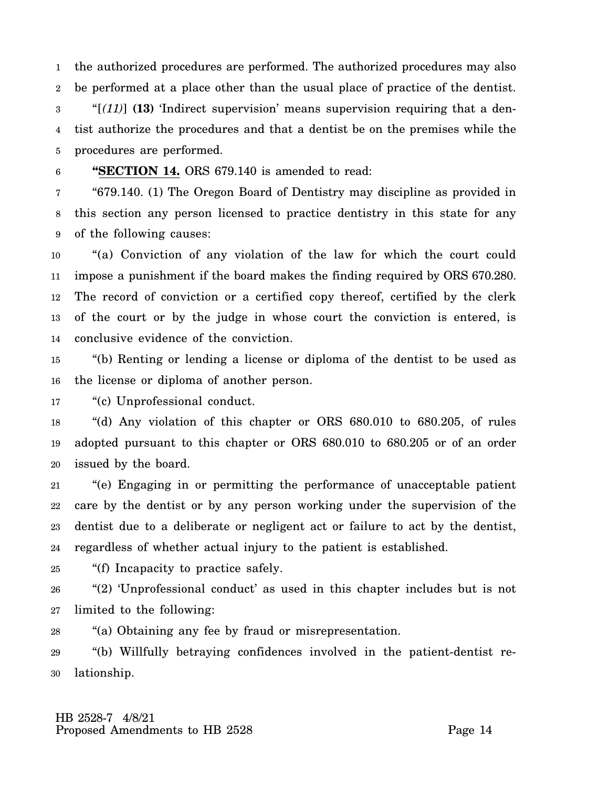1 2 3 4 5 the authorized procedures are performed. The authorized procedures may also be performed at a place other than the usual place of practice of the dentist. "[*(11)*] **(13)** 'Indirect supervision' means supervision requiring that a dentist authorize the procedures and that a dentist be on the premises while the procedures are performed.

6 **"SECTION 14.** ORS 679.140 is amended to read:

7 8 9 "679.140. (1) The Oregon Board of Dentistry may discipline as provided in this section any person licensed to practice dentistry in this state for any of the following causes:

10 11 12 13 14 "(a) Conviction of any violation of the law for which the court could impose a punishment if the board makes the finding required by ORS 670.280. The record of conviction or a certified copy thereof, certified by the clerk of the court or by the judge in whose court the conviction is entered, is conclusive evidence of the conviction.

15 16 "(b) Renting or lending a license or diploma of the dentist to be used as the license or diploma of another person.

17 "(c) Unprofessional conduct.

18 19 20 "(d) Any violation of this chapter or ORS 680.010 to 680.205, of rules adopted pursuant to this chapter or ORS 680.010 to 680.205 or of an order issued by the board.

21 22 23 24 "(e) Engaging in or permitting the performance of unacceptable patient care by the dentist or by any person working under the supervision of the dentist due to a deliberate or negligent act or failure to act by the dentist, regardless of whether actual injury to the patient is established.

25 "(f) Incapacity to practice safely.

26 27 "(2) 'Unprofessional conduct' as used in this chapter includes but is not limited to the following:

28 "(a) Obtaining any fee by fraud or misrepresentation.

29 30 "(b) Willfully betraying confidences involved in the patient-dentist relationship.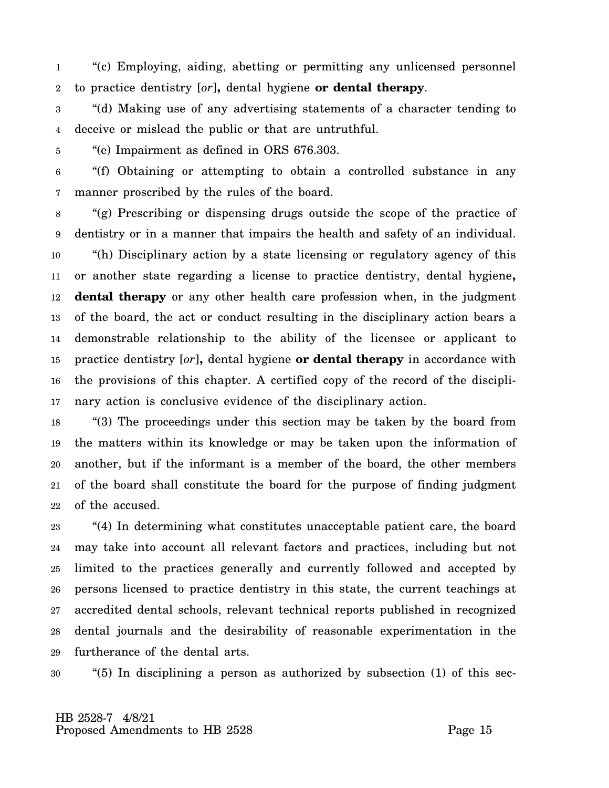1 2 "(c) Employing, aiding, abetting or permitting any unlicensed personnel to practice dentistry [*or*]**,** dental hygiene **or dental therapy**.

3 4 "(d) Making use of any advertising statements of a character tending to deceive or mislead the public or that are untruthful.

5 "(e) Impairment as defined in ORS 676.303.

6 7 "(f) Obtaining or attempting to obtain a controlled substance in any manner proscribed by the rules of the board.

8 9 10 11 12 13 14 15 16 17 "(g) Prescribing or dispensing drugs outside the scope of the practice of dentistry or in a manner that impairs the health and safety of an individual. "(h) Disciplinary action by a state licensing or regulatory agency of this or another state regarding a license to practice dentistry, dental hygiene**, dental therapy** or any other health care profession when, in the judgment of the board, the act or conduct resulting in the disciplinary action bears a demonstrable relationship to the ability of the licensee or applicant to practice dentistry [*or*]**,** dental hygiene **or dental therapy** in accordance with the provisions of this chapter. A certified copy of the record of the disciplinary action is conclusive evidence of the disciplinary action.

18 19 20 21 22 "(3) The proceedings under this section may be taken by the board from the matters within its knowledge or may be taken upon the information of another, but if the informant is a member of the board, the other members of the board shall constitute the board for the purpose of finding judgment of the accused.

23 24 25 26 27 28 29 "(4) In determining what constitutes unacceptable patient care, the board may take into account all relevant factors and practices, including but not limited to the practices generally and currently followed and accepted by persons licensed to practice dentistry in this state, the current teachings at accredited dental schools, relevant technical reports published in recognized dental journals and the desirability of reasonable experimentation in the furtherance of the dental arts.

30 "(5) In disciplining a person as authorized by subsection (1) of this sec-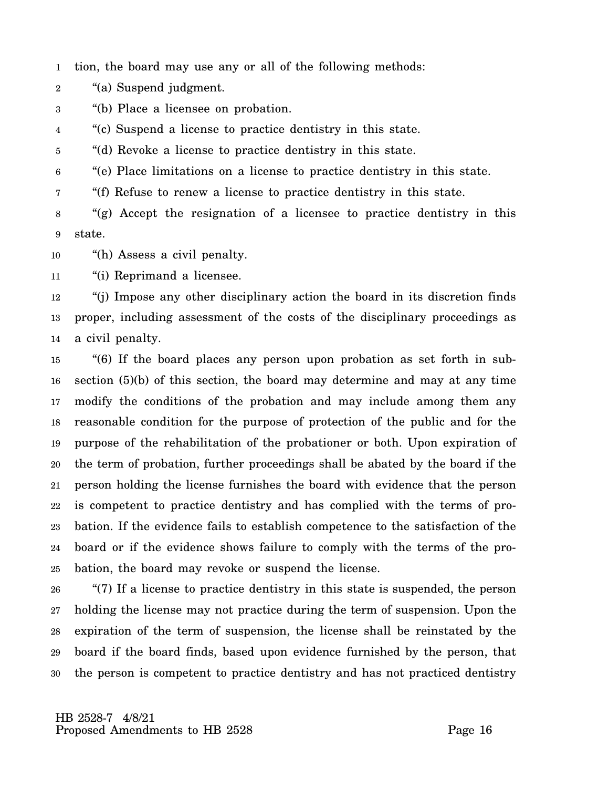1 tion, the board may use any or all of the following methods:

- 2 "(a) Suspend judgment.
- 3 "(b) Place a licensee on probation.

4 "(c) Suspend a license to practice dentistry in this state.

5 "(d) Revoke a license to practice dentistry in this state.

6 "(e) Place limitations on a license to practice dentistry in this state.

7 "(f) Refuse to renew a license to practice dentistry in this state.

8 9 "(g) Accept the resignation of a licensee to practice dentistry in this state.

10 "(h) Assess a civil penalty.

11 "(i) Reprimand a licensee.

12 13 14 "(j) Impose any other disciplinary action the board in its discretion finds proper, including assessment of the costs of the disciplinary proceedings as a civil penalty.

15 16 17 18 19 20 21 22 23 24 25 "(6) If the board places any person upon probation as set forth in subsection (5)(b) of this section, the board may determine and may at any time modify the conditions of the probation and may include among them any reasonable condition for the purpose of protection of the public and for the purpose of the rehabilitation of the probationer or both. Upon expiration of the term of probation, further proceedings shall be abated by the board if the person holding the license furnishes the board with evidence that the person is competent to practice dentistry and has complied with the terms of probation. If the evidence fails to establish competence to the satisfaction of the board or if the evidence shows failure to comply with the terms of the probation, the board may revoke or suspend the license.

26 27 28 29 30 "(7) If a license to practice dentistry in this state is suspended, the person holding the license may not practice during the term of suspension. Upon the expiration of the term of suspension, the license shall be reinstated by the board if the board finds, based upon evidence furnished by the person, that the person is competent to practice dentistry and has not practiced dentistry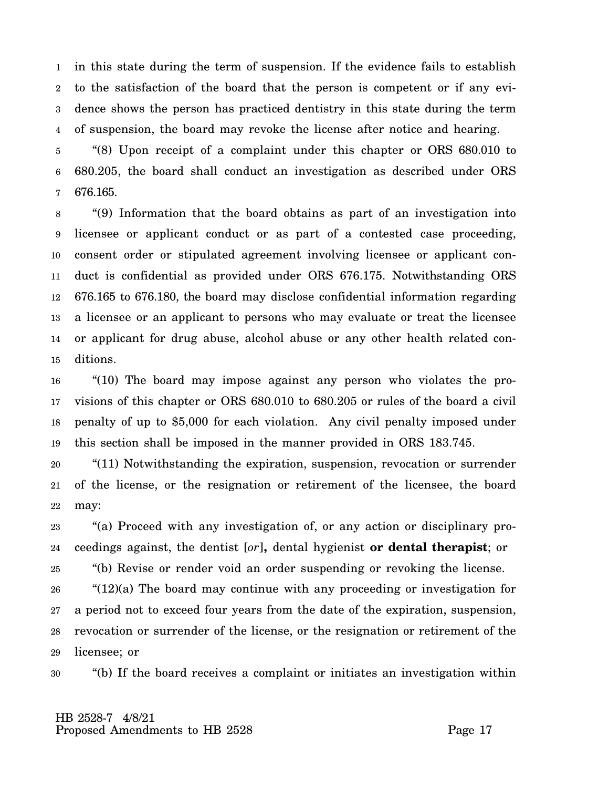1 2 3 4 in this state during the term of suspension. If the evidence fails to establish to the satisfaction of the board that the person is competent or if any evidence shows the person has practiced dentistry in this state during the term of suspension, the board may revoke the license after notice and hearing.

5 6 7 "(8) Upon receipt of a complaint under this chapter or ORS 680.010 to 680.205, the board shall conduct an investigation as described under ORS 676.165.

8 9 10 11 12 13 14 15 "(9) Information that the board obtains as part of an investigation into licensee or applicant conduct or as part of a contested case proceeding, consent order or stipulated agreement involving licensee or applicant conduct is confidential as provided under ORS 676.175. Notwithstanding ORS 676.165 to 676.180, the board may disclose confidential information regarding a licensee or an applicant to persons who may evaluate or treat the licensee or applicant for drug abuse, alcohol abuse or any other health related conditions.

16 17 18 19 "(10) The board may impose against any person who violates the provisions of this chapter or ORS 680.010 to 680.205 or rules of the board a civil penalty of up to \$5,000 for each violation. Any civil penalty imposed under this section shall be imposed in the manner provided in ORS 183.745.

20 21 22 "(11) Notwithstanding the expiration, suspension, revocation or surrender of the license, or the resignation or retirement of the licensee, the board may:

23 24 "(a) Proceed with any investigation of, or any action or disciplinary proceedings against, the dentist [*or*]**,** dental hygienist **or dental therapist**; or

25 "(b) Revise or render void an order suspending or revoking the license.

26 27 28 29 "(12)(a) The board may continue with any proceeding or investigation for a period not to exceed four years from the date of the expiration, suspension, revocation or surrender of the license, or the resignation or retirement of the licensee; or

30 "(b) If the board receives a complaint or initiates an investigation within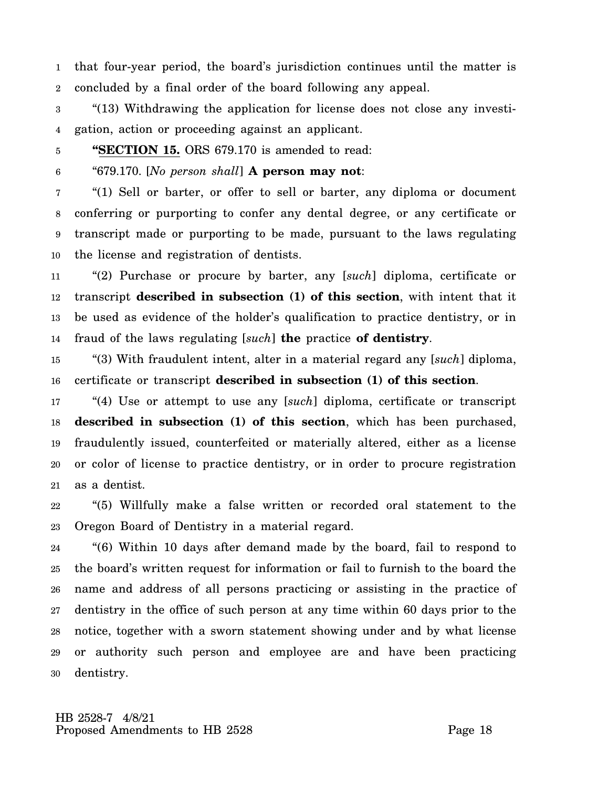1 2 that four-year period, the board's jurisdiction continues until the matter is concluded by a final order of the board following any appeal.

3 4 "(13) Withdrawing the application for license does not close any investigation, action or proceeding against an applicant.

5

**"SECTION 15.** ORS 679.170 is amended to read:

6 "679.170. [*No person shall*] **A person may not**:

7 8 9 10 "(1) Sell or barter, or offer to sell or barter, any diploma or document conferring or purporting to confer any dental degree, or any certificate or transcript made or purporting to be made, pursuant to the laws regulating the license and registration of dentists.

11 12 13 14 "(2) Purchase or procure by barter, any [*such*] diploma, certificate or transcript **described in subsection (1) of this section**, with intent that it be used as evidence of the holder's qualification to practice dentistry, or in fraud of the laws regulating [*such*] **the** practice **of dentistry**.

15 16 "(3) With fraudulent intent, alter in a material regard any [*such*] diploma, certificate or transcript **described in subsection (1) of this section**.

17 18 19 20 21 "(4) Use or attempt to use any [*such*] diploma, certificate or transcript **described in subsection (1) of this section**, which has been purchased, fraudulently issued, counterfeited or materially altered, either as a license or color of license to practice dentistry, or in order to procure registration as a dentist.

22 23 "(5) Willfully make a false written or recorded oral statement to the Oregon Board of Dentistry in a material regard.

24 25 26 27 28 29 30 "(6) Within 10 days after demand made by the board, fail to respond to the board's written request for information or fail to furnish to the board the name and address of all persons practicing or assisting in the practice of dentistry in the office of such person at any time within 60 days prior to the notice, together with a sworn statement showing under and by what license or authority such person and employee are and have been practicing dentistry.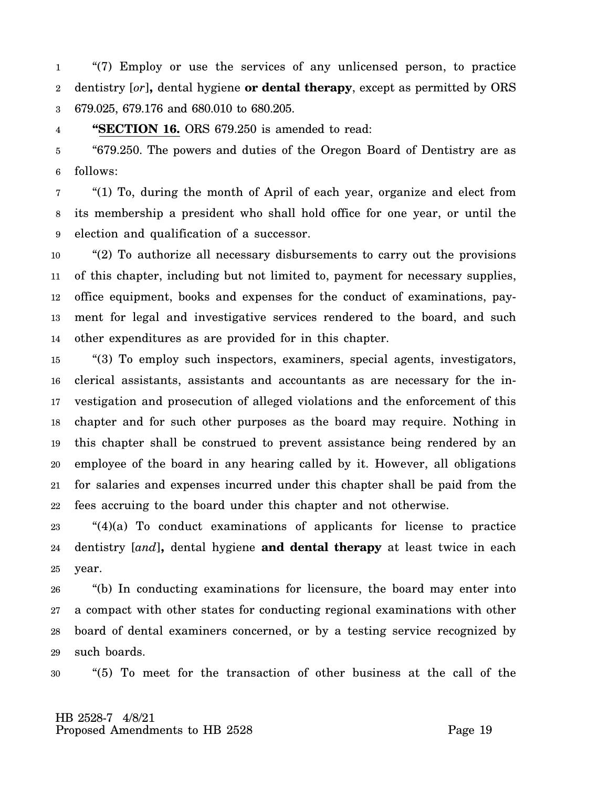1 2 3 "(7) Employ or use the services of any unlicensed person, to practice dentistry [*or*]**,** dental hygiene **or dental therapy**, except as permitted by ORS 679.025, 679.176 and 680.010 to 680.205.

4 **"SECTION 16.** ORS 679.250 is amended to read:

5 6 "679.250. The powers and duties of the Oregon Board of Dentistry are as follows:

7 8 9 "(1) To, during the month of April of each year, organize and elect from its membership a president who shall hold office for one year, or until the election and qualification of a successor.

10 11 12 13 14 "(2) To authorize all necessary disbursements to carry out the provisions of this chapter, including but not limited to, payment for necessary supplies, office equipment, books and expenses for the conduct of examinations, payment for legal and investigative services rendered to the board, and such other expenditures as are provided for in this chapter.

15 16 17 18 19 20 21 22 "(3) To employ such inspectors, examiners, special agents, investigators, clerical assistants, assistants and accountants as are necessary for the investigation and prosecution of alleged violations and the enforcement of this chapter and for such other purposes as the board may require. Nothing in this chapter shall be construed to prevent assistance being rendered by an employee of the board in any hearing called by it. However, all obligations for salaries and expenses incurred under this chapter shall be paid from the fees accruing to the board under this chapter and not otherwise.

23 24 25 "(4)(a) To conduct examinations of applicants for license to practice dentistry [*and*]**,** dental hygiene **and dental therapy** at least twice in each year.

26 27 28 29 "(b) In conducting examinations for licensure, the board may enter into a compact with other states for conducting regional examinations with other board of dental examiners concerned, or by a testing service recognized by such boards.

30 "(5) To meet for the transaction of other business at the call of the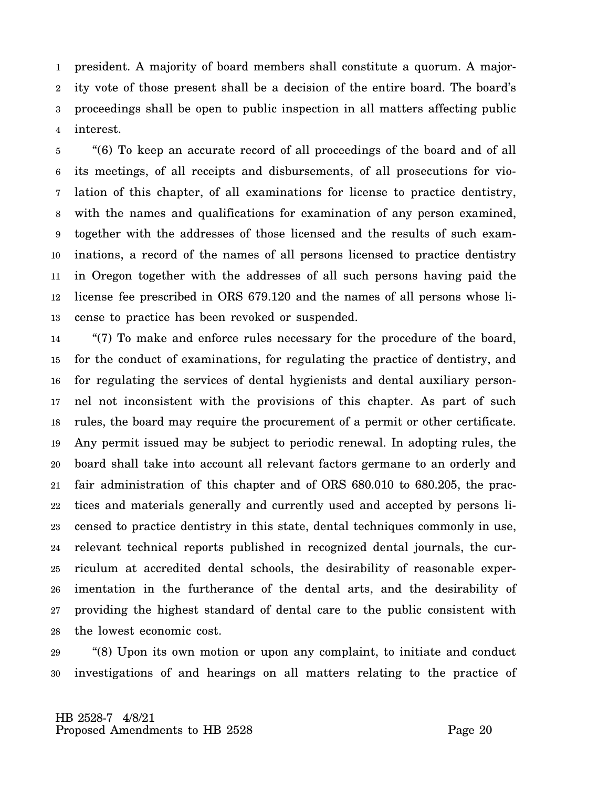1 2 3 4 president. A majority of board members shall constitute a quorum. A majority vote of those present shall be a decision of the entire board. The board's proceedings shall be open to public inspection in all matters affecting public interest.

5 6 7 8 9 10 11 12 13 "(6) To keep an accurate record of all proceedings of the board and of all its meetings, of all receipts and disbursements, of all prosecutions for violation of this chapter, of all examinations for license to practice dentistry, with the names and qualifications for examination of any person examined, together with the addresses of those licensed and the results of such examinations, a record of the names of all persons licensed to practice dentistry in Oregon together with the addresses of all such persons having paid the license fee prescribed in ORS 679.120 and the names of all persons whose license to practice has been revoked or suspended.

14 15 16 17 18 19 20 21 22 23 24 25 26 27 28 "(7) To make and enforce rules necessary for the procedure of the board, for the conduct of examinations, for regulating the practice of dentistry, and for regulating the services of dental hygienists and dental auxiliary personnel not inconsistent with the provisions of this chapter. As part of such rules, the board may require the procurement of a permit or other certificate. Any permit issued may be subject to periodic renewal. In adopting rules, the board shall take into account all relevant factors germane to an orderly and fair administration of this chapter and of ORS 680.010 to 680.205, the practices and materials generally and currently used and accepted by persons licensed to practice dentistry in this state, dental techniques commonly in use, relevant technical reports published in recognized dental journals, the curriculum at accredited dental schools, the desirability of reasonable experimentation in the furtherance of the dental arts, and the desirability of providing the highest standard of dental care to the public consistent with the lowest economic cost.

29 30 "(8) Upon its own motion or upon any complaint, to initiate and conduct investigations of and hearings on all matters relating to the practice of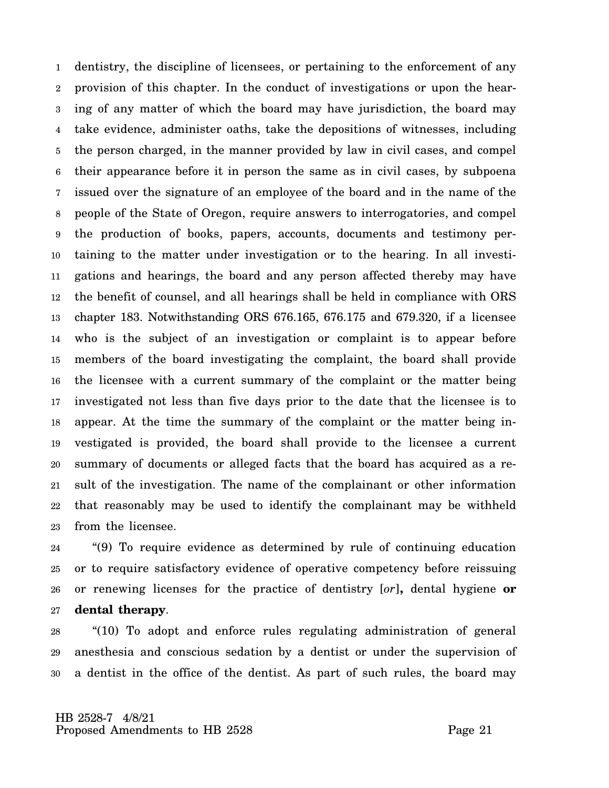1 2 3 4 5 6 7 8 9 10 11 12 13 14 15 16 17 18 19 20 21 22 23 dentistry, the discipline of licensees, or pertaining to the enforcement of any provision of this chapter. In the conduct of investigations or upon the hearing of any matter of which the board may have jurisdiction, the board may take evidence, administer oaths, take the depositions of witnesses, including the person charged, in the manner provided by law in civil cases, and compel their appearance before it in person the same as in civil cases, by subpoena issued over the signature of an employee of the board and in the name of the people of the State of Oregon, require answers to interrogatories, and compel the production of books, papers, accounts, documents and testimony pertaining to the matter under investigation or to the hearing. In all investigations and hearings, the board and any person affected thereby may have the benefit of counsel, and all hearings shall be held in compliance with ORS chapter 183. Notwithstanding ORS 676.165, 676.175 and 679.320, if a licensee who is the subject of an investigation or complaint is to appear before members of the board investigating the complaint, the board shall provide the licensee with a current summary of the complaint or the matter being investigated not less than five days prior to the date that the licensee is to appear. At the time the summary of the complaint or the matter being investigated is provided, the board shall provide to the licensee a current summary of documents or alleged facts that the board has acquired as a result of the investigation. The name of the complainant or other information that reasonably may be used to identify the complainant may be withheld from the licensee.

24 25 26 27 "(9) To require evidence as determined by rule of continuing education or to require satisfactory evidence of operative competency before reissuing or renewing licenses for the practice of dentistry [*or*]**,** dental hygiene **or dental therapy**.

28 29 30 "(10) To adopt and enforce rules regulating administration of general anesthesia and conscious sedation by a dentist or under the supervision of a dentist in the office of the dentist. As part of such rules, the board may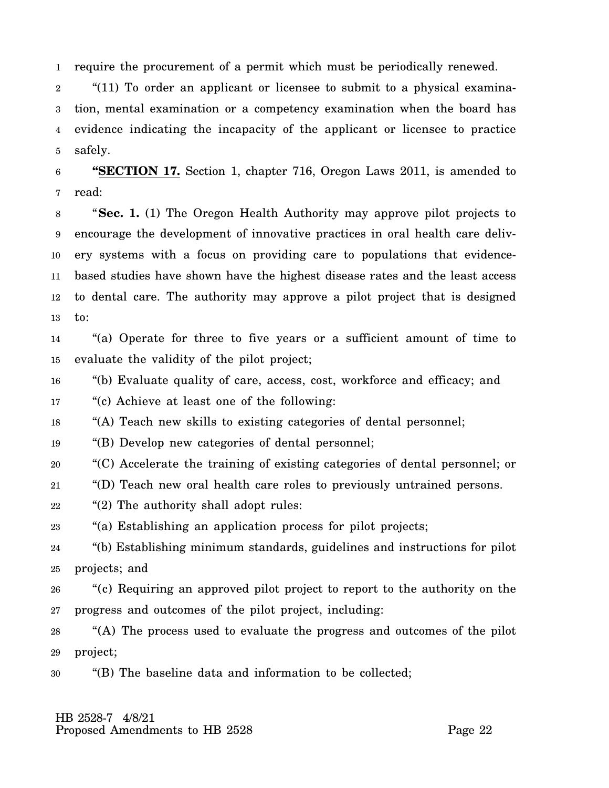1 require the procurement of a permit which must be periodically renewed.

2 3 4 5 "(11) To order an applicant or licensee to submit to a physical examination, mental examination or a competency examination when the board has evidence indicating the incapacity of the applicant or licensee to practice safely.

6 7 **"SECTION 17.** Section 1, chapter 716, Oregon Laws 2011, is amended to read:

8 9 10 11 12 13 "**Sec. 1.** (1) The Oregon Health Authority may approve pilot projects to encourage the development of innovative practices in oral health care delivery systems with a focus on providing care to populations that evidencebased studies have shown have the highest disease rates and the least access to dental care. The authority may approve a pilot project that is designed to:

14 15 "(a) Operate for three to five years or a sufficient amount of time to evaluate the validity of the pilot project;

16 "(b) Evaluate quality of care, access, cost, workforce and efficacy; and

17 "(c) Achieve at least one of the following:

18 "(A) Teach new skills to existing categories of dental personnel;

19 "(B) Develop new categories of dental personnel;

20 "(C) Accelerate the training of existing categories of dental personnel; or

21 "(D) Teach new oral health care roles to previously untrained persons.

22 "(2) The authority shall adopt rules:

23 "(a) Establishing an application process for pilot projects;

24 25 "(b) Establishing minimum standards, guidelines and instructions for pilot projects; and

26 27 "(c) Requiring an approved pilot project to report to the authority on the progress and outcomes of the pilot project, including:

28 29 "(A) The process used to evaluate the progress and outcomes of the pilot project;

30 "(B) The baseline data and information to be collected;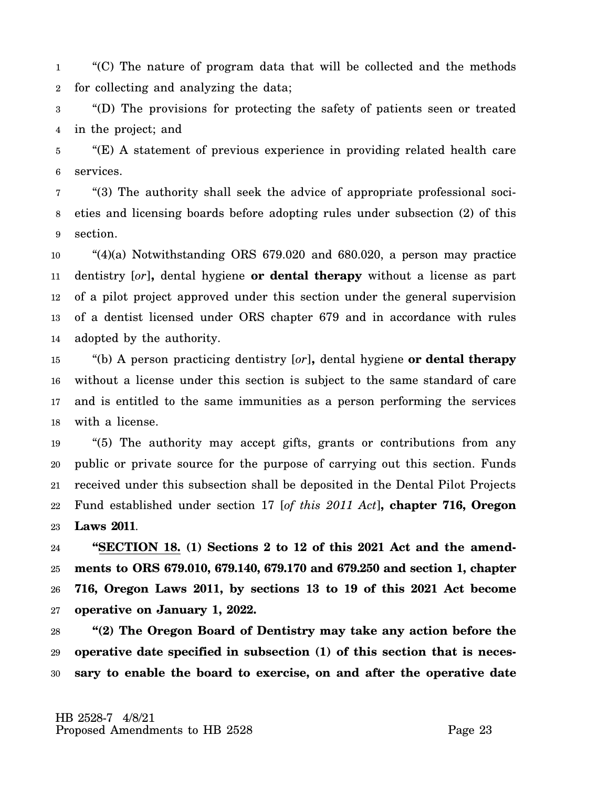1 2 "(C) The nature of program data that will be collected and the methods for collecting and analyzing the data;

3 4 "(D) The provisions for protecting the safety of patients seen or treated in the project; and

5 6 "(E) A statement of previous experience in providing related health care services.

7 8 9 "(3) The authority shall seek the advice of appropriate professional societies and licensing boards before adopting rules under subsection (2) of this section.

10 11 12 13 14 "(4)(a) Notwithstanding ORS 679.020 and 680.020, a person may practice dentistry [*or*]**,** dental hygiene **or dental therapy** without a license as part of a pilot project approved under this section under the general supervision of a dentist licensed under ORS chapter 679 and in accordance with rules adopted by the authority.

15 16 17 18 "(b) A person practicing dentistry [*or*]**,** dental hygiene **or dental therapy** without a license under this section is subject to the same standard of care and is entitled to the same immunities as a person performing the services with a license.

19 20 21 22 23 "(5) The authority may accept gifts, grants or contributions from any public or private source for the purpose of carrying out this section. Funds received under this subsection shall be deposited in the Dental Pilot Projects Fund established under section 17 [*of this 2011 Act*]**, chapter 716, Oregon Laws 2011**.

24 25 26 27 **"SECTION 18. (1) Sections 2 to 12 of this 2021 Act and the amendments to ORS 679.010, 679.140, 679.170 and 679.250 and section 1, chapter 716, Oregon Laws 2011, by sections 13 to 19 of this 2021 Act become operative on January 1, 2022.**

28 29 30 **"(2) The Oregon Board of Dentistry may take any action before the operative date specified in subsection (1) of this section that is necessary to enable the board to exercise, on and after the operative date**